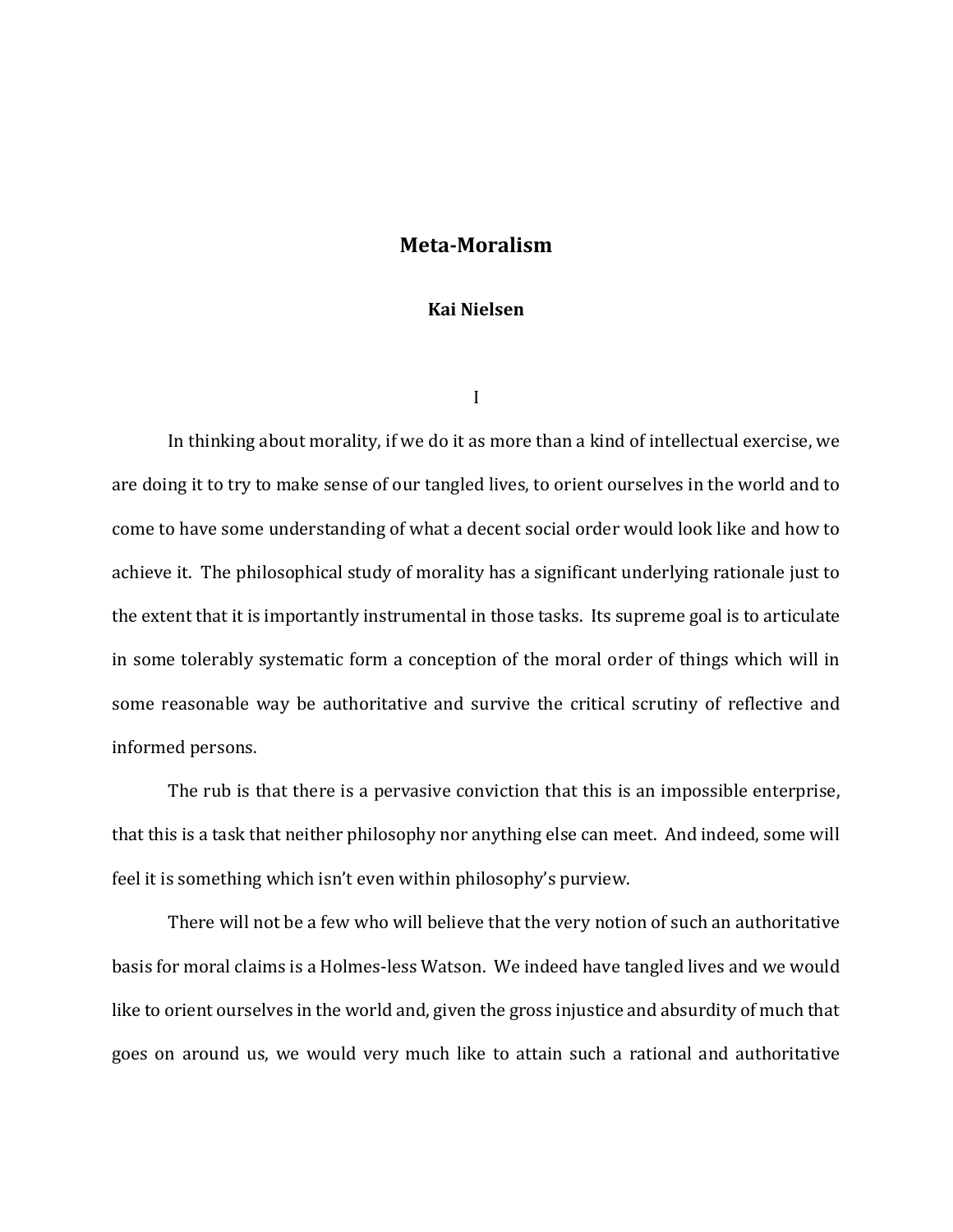## **Meta-Moralism**

## **Kai Nielsen**

I

In thinking about morality, if we do it as more than a kind of intellectual exercise, we are doing it to try to make sense of our tangled lives, to orient ourselves in the world and to come to have some understanding of what a decent social order would look like and how to achieve it. The philosophical study of morality has a significant underlying rationale just to the extent that it is importantly instrumental in those tasks. Its supreme goal is to articulate in some tolerably systematic form a conception of the moral order of things which will in some reasonable way be authoritative and survive the critical scrutiny of reflective and informed persons.

The rub is that there is a pervasive conviction that this is an impossible enterprise, that this is a task that neither philosophy nor anything else can meet. And indeed, some will feel it is something which isn't even within philosophy's purview.

There will not be a few who will believe that the very notion of such an authoritative basis for moral claims is a Holmes-less Watson. We indeed have tangled lives and we would like to orient ourselves in the world and, given the gross injustice and absurdity of much that goes on around us, we would very much like to attain such a rational and authoritative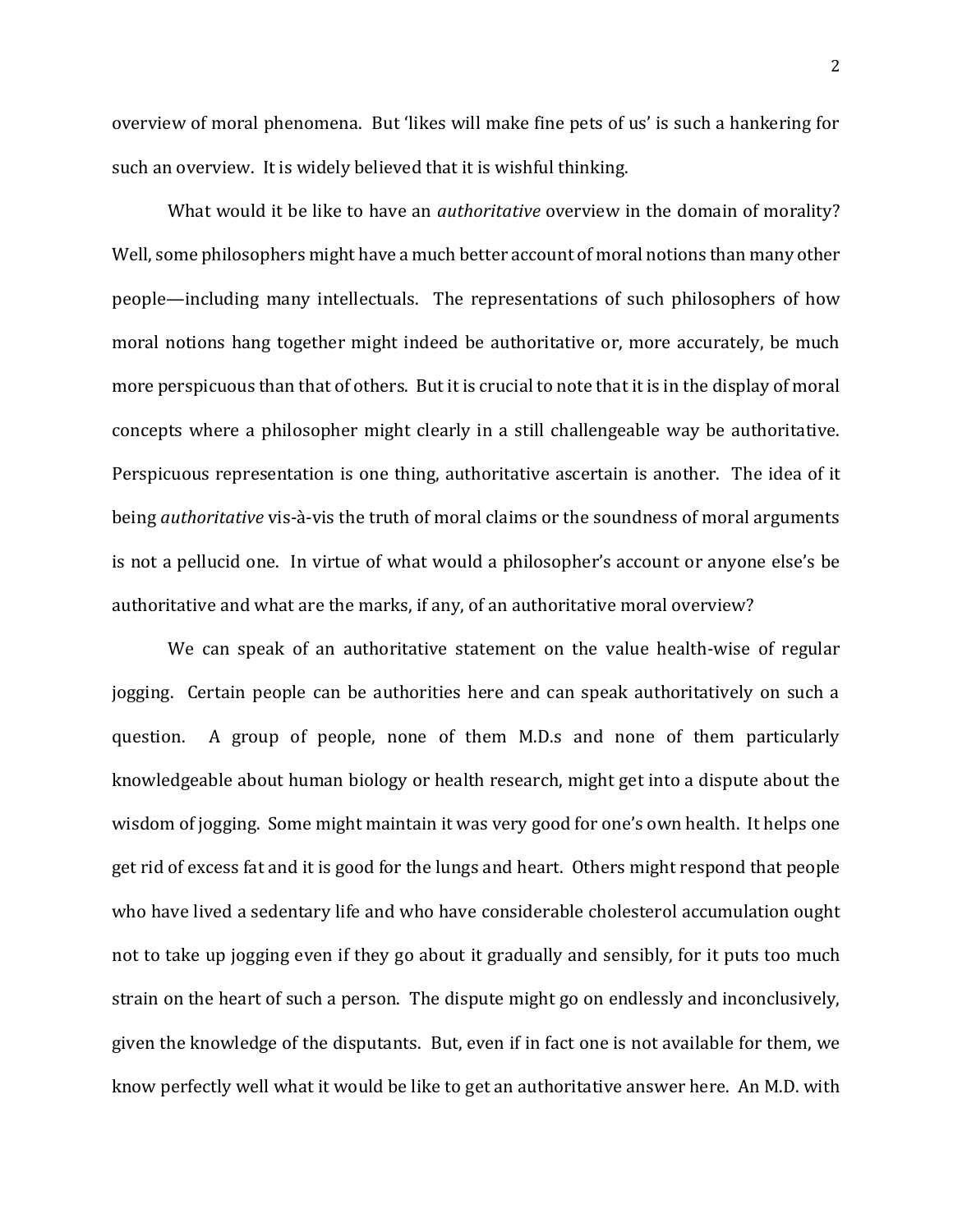overview of moral phenomena. But 'likes will make fine pets of us' is such a hankering for such an overview. It is widely believed that it is wishful thinking.

What would it be like to have an *authoritative* overview in the domain of morality? Well, some philosophers might have a much better account of moral notions than many other people—including many intellectuals. The representations of such philosophers of how moral notions hang together might indeed be authoritative or, more accurately, be much more perspicuous than that of others. But it is crucial to note that it is in the display of moral concepts where a philosopher might clearly in a still challengeable way be authoritative. Perspicuous representation is one thing, authoritative ascertain is another. The idea of it being *authoritative* vis-à-vis the truth of moral claims or the soundness of moral arguments is not a pellucid one. In virtue of what would a philosopher's account or anyone else's be authoritative and what are the marks, if any, of an authoritative moral overview?

We can speak of an authoritative statement on the value health-wise of regular jogging. Certain people can be authorities here and can speak authoritatively on such a question. A group of people, none of them M.D.s and none of them particularly knowledgeable about human biology or health research, might get into a dispute about the wisdom of jogging. Some might maintain it was very good for one's own health. It helps one get rid of excess fat and it is good for the lungs and heart. Others might respond that people who have lived a sedentary life and who have considerable cholesterol accumulation ought not to take up jogging even if they go about it gradually and sensibly, for it puts too much strain on the heart of such a person. The dispute might go on endlessly and inconclusively, given the knowledge of the disputants. But, even if in fact one is not available for them, we know perfectly well what it would be like to get an authoritative answer here. An M.D. with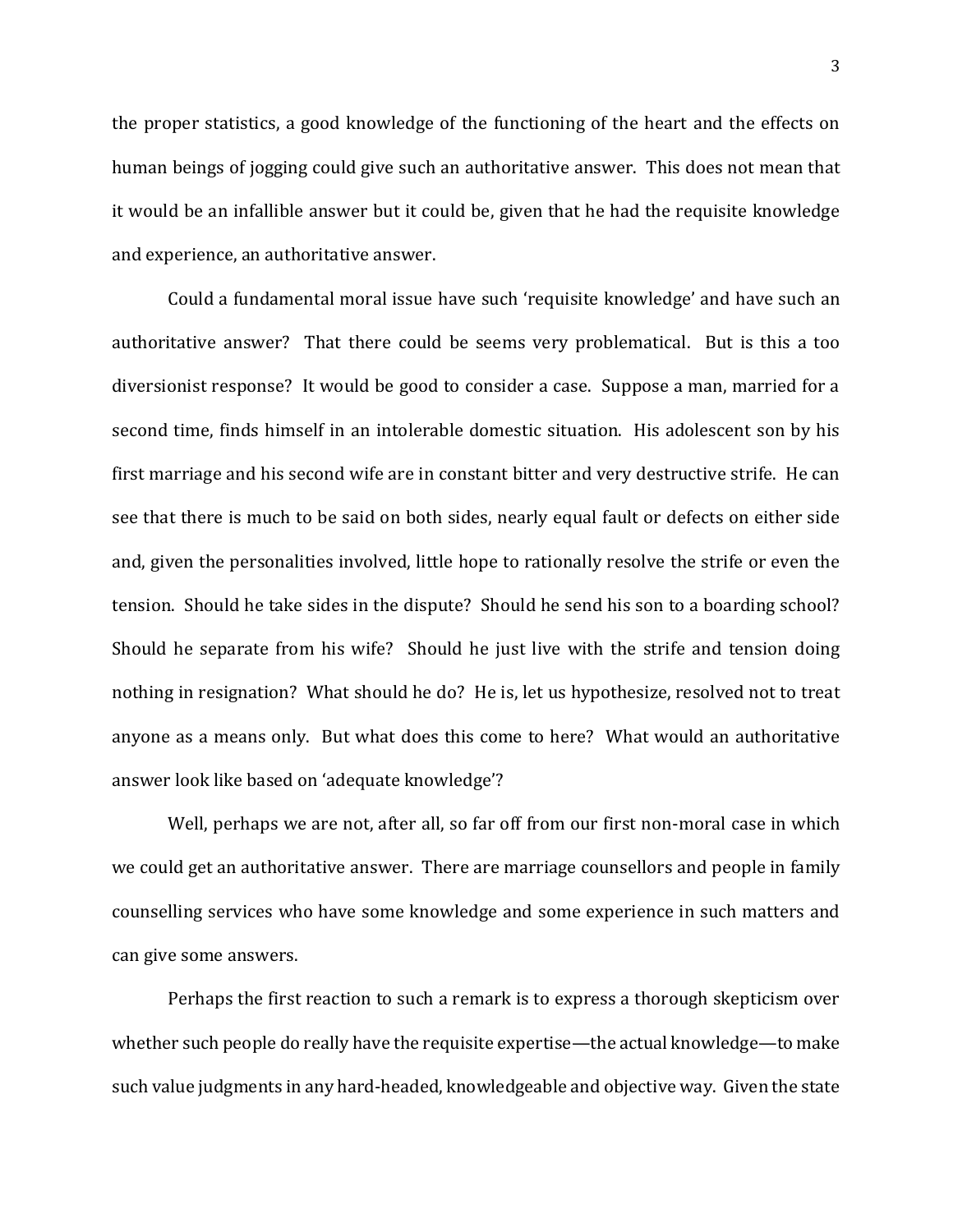the proper statistics, a good knowledge of the functioning of the heart and the effects on human beings of jogging could give such an authoritative answer. This does not mean that it would be an infallible answer but it could be, given that he had the requisite knowledge and experience, an authoritative answer.

Could a fundamental moral issue have such 'requisite knowledge' and have such an authoritative answer? That there could be seems very problematical. But is this a too diversionist response? It would be good to consider a case. Suppose a man, married for a second time, finds himself in an intolerable domestic situation. His adolescent son by his first marriage and his second wife are in constant bitter and very destructive strife. He can see that there is much to be said on both sides, nearly equal fault or defects on either side and, given the personalities involved, little hope to rationally resolve the strife or even the tension. Should he take sides in the dispute? Should he send his son to a boarding school? Should he separate from his wife? Should he just live with the strife and tension doing nothing in resignation? What should he do? He is, let us hypothesize, resolved not to treat anyone as a means only. But what does this come to here? What would an authoritative answer look like based on 'adequate knowledge'?

Well, perhaps we are not, after all, so far off from our first non-moral case in which we could get an authoritative answer. There are marriage counsellors and people in family counselling services who have some knowledge and some experience in such matters and can give some answers.

Perhaps the first reaction to such a remark is to express a thorough skepticism over whether such people do really have the requisite expertise—the actual knowledge—to make such value judgments in any hard-headed, knowledgeable and objective way. Given the state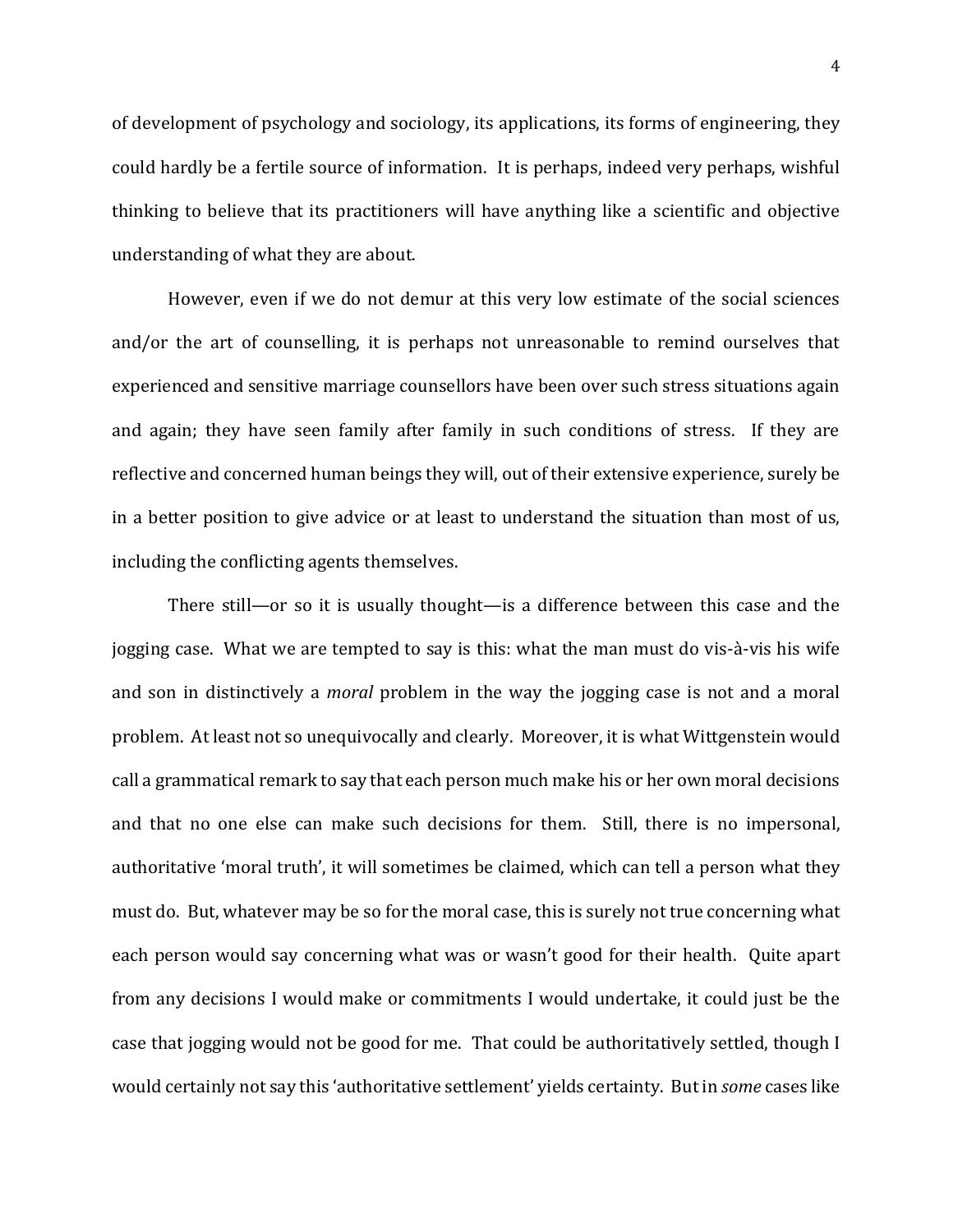of development of psychology and sociology, its applications, its forms of engineering, they could hardly be a fertile source of information. It is perhaps, indeed very perhaps, wishful thinking to believe that its practitioners will have anything like a scientific and objective understanding of what they are about.

However, even if we do not demur at this very low estimate of the social sciences and/or the art of counselling, it is perhaps not unreasonable to remind ourselves that experienced and sensitive marriage counsellors have been over such stress situations again and again; they have seen family after family in such conditions of stress. If they are reflective and concerned human beings they will, out of their extensive experience, surely be in a better position to give advice or at least to understand the situation than most of us, including the conflicting agents themselves.

There still—or so it is usually thought—is a difference between this case and the jogging case. What we are tempted to say is this: what the man must do vis-à-vis his wife and son in distinctively a *moral* problem in the way the jogging case is not and a moral problem. At least not so unequivocally and clearly. Moreover, it is what Wittgenstein would call a grammatical remark to say that each person much make his or her own moral decisions and that no one else can make such decisions for them. Still, there is no impersonal, authoritative 'moral truth', it will sometimes be claimed, which can tell a person what they must do. But, whatever may be so for the moral case, this is surely not true concerning what each person would say concerning what was or wasn't good for their health. Quite apart from any decisions I would make or commitments I would undertake, it could just be the case that jogging would not be good for me. That could be authoritatively settled, though I would certainly not say this 'authoritative settlement' yields certainty. But in *some* cases like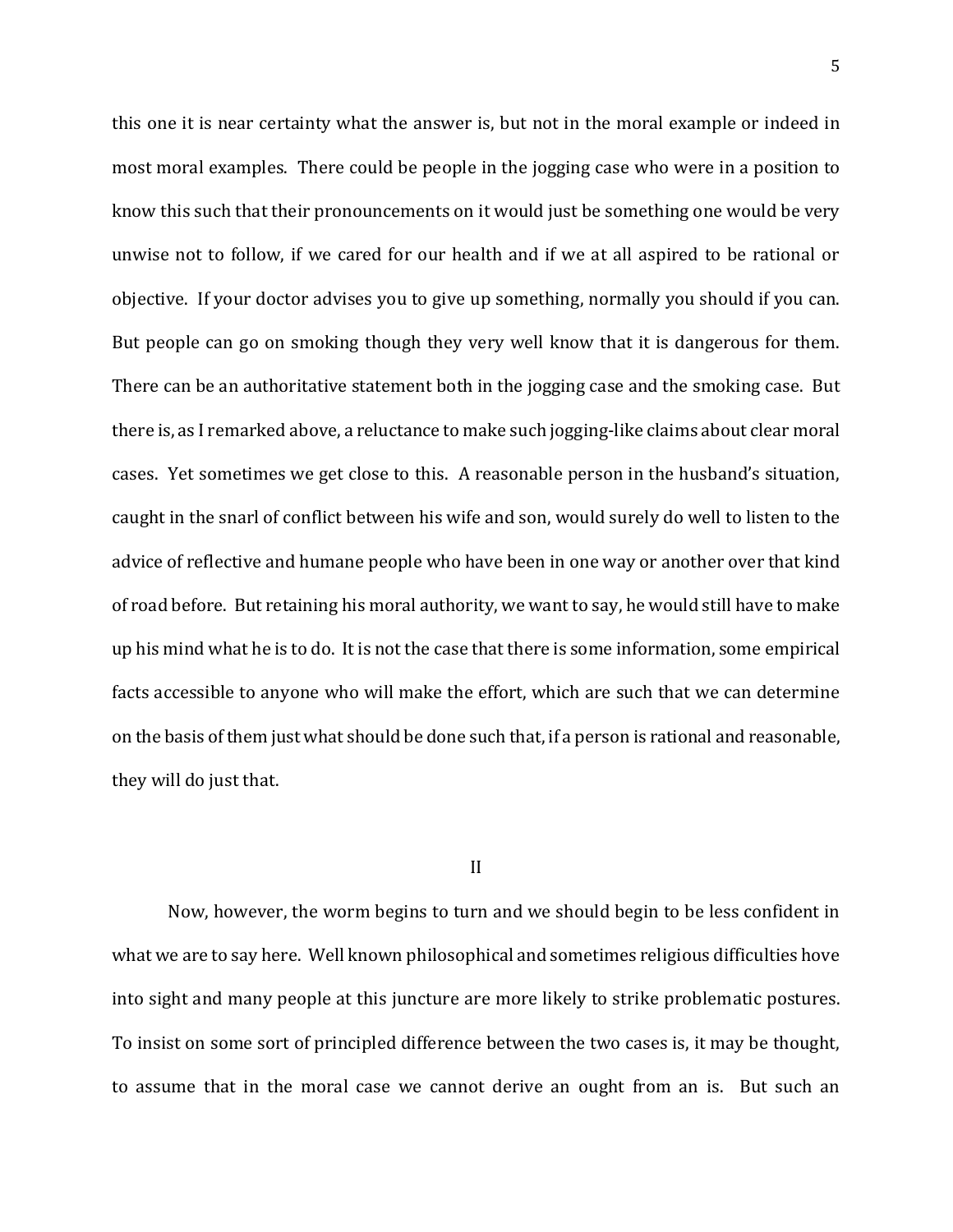this one it is near certainty what the answer is, but not in the moral example or indeed in most moral examples. There could be people in the jogging case who were in a position to know this such that their pronouncements on it would just be something one would be very unwise not to follow, if we cared for our health and if we at all aspired to be rational or objective. If your doctor advises you to give up something, normally you should if you can. But people can go on smoking though they very well know that it is dangerous for them. There can be an authoritative statement both in the jogging case and the smoking case. But there is, as I remarked above, a reluctance to make such jogging-like claims about clear moral cases. Yet sometimes we get close to this. A reasonable person in the husband's situation, caught in the snarl of conflict between his wife and son, would surely do well to listen to the advice of reflective and humane people who have been in one way or another over that kind of road before. But retaining his moral authority, we want to say, he would still have to make up his mind what he is to do. It is not the case that there is some information, some empirical facts accessible to anyone who will make the effort, which are such that we can determine on the basis of them just what should be done such that, if a person is rational and reasonable, they will do just that.

## II

Now, however, the worm begins to turn and we should begin to be less confident in what we are to say here. Well known philosophical and sometimes religious difficulties hove into sight and many people at this juncture are more likely to strike problematic postures. To insist on some sort of principled difference between the two cases is, it may be thought, to assume that in the moral case we cannot derive an ought from an is. But such an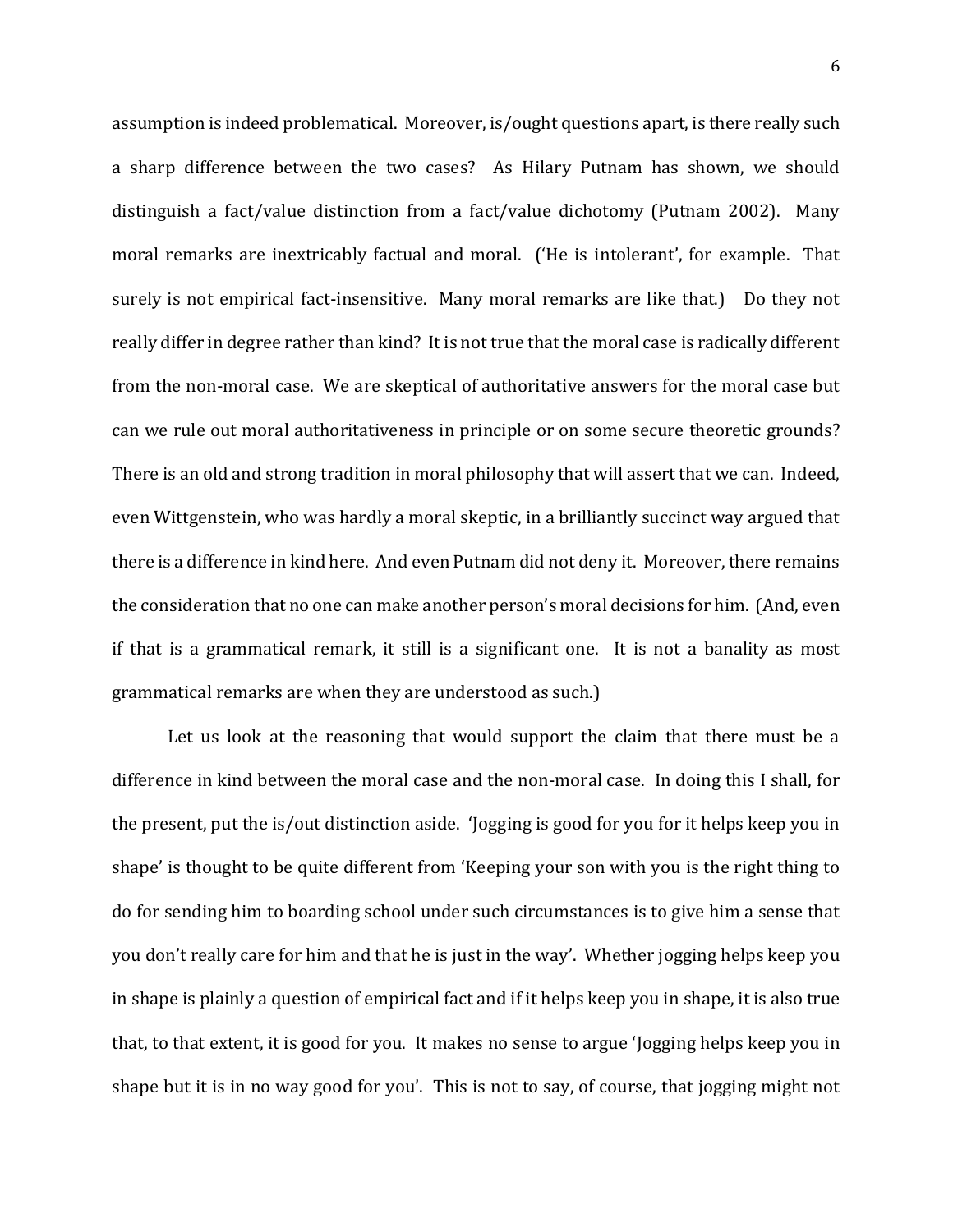assumption is indeed problematical. Moreover, is/ought questions apart, is there really such a sharp difference between the two cases? As Hilary Putnam has shown, we should distinguish a fact/value distinction from a fact/value dichotomy (Putnam 2002). Many moral remarks are inextricably factual and moral. ('He is intolerant', for example. That surely is not empirical fact-insensitive. Many moral remarks are like that.) Do they not really differ in degree rather than kind? It is not true that the moral case is radically different from the non-moral case. We are skeptical of authoritative answers for the moral case but can we rule out moral authoritativeness in principle or on some secure theoretic grounds? There is an old and strong tradition in moral philosophy that will assert that we can. Indeed, even Wittgenstein, who was hardly a moral skeptic, in a brilliantly succinct way argued that there is a difference in kind here. And even Putnam did not deny it. Moreover, there remains the consideration that no one can make another person's moral decisions for him. (And, even if that is a grammatical remark, it still is a significant one. It is not a banality as most grammatical remarks are when they are understood as such.)

Let us look at the reasoning that would support the claim that there must be a difference in kind between the moral case and the non-moral case. In doing this I shall, for the present, put the is/out distinction aside. 'Jogging is good for you for it helps keep you in shape' is thought to be quite different from 'Keeping your son with you is the right thing to do for sending him to boarding school under such circumstances is to give him a sense that you don't really care for him and that he is just in the way'. Whether jogging helps keep you in shape is plainly a question of empirical fact and if it helps keep you in shape, it is also true that, to that extent, it is good for you. It makes no sense to argue 'Jogging helps keep you in shape but it is in no way good for you'. This is not to say, of course, that jogging might not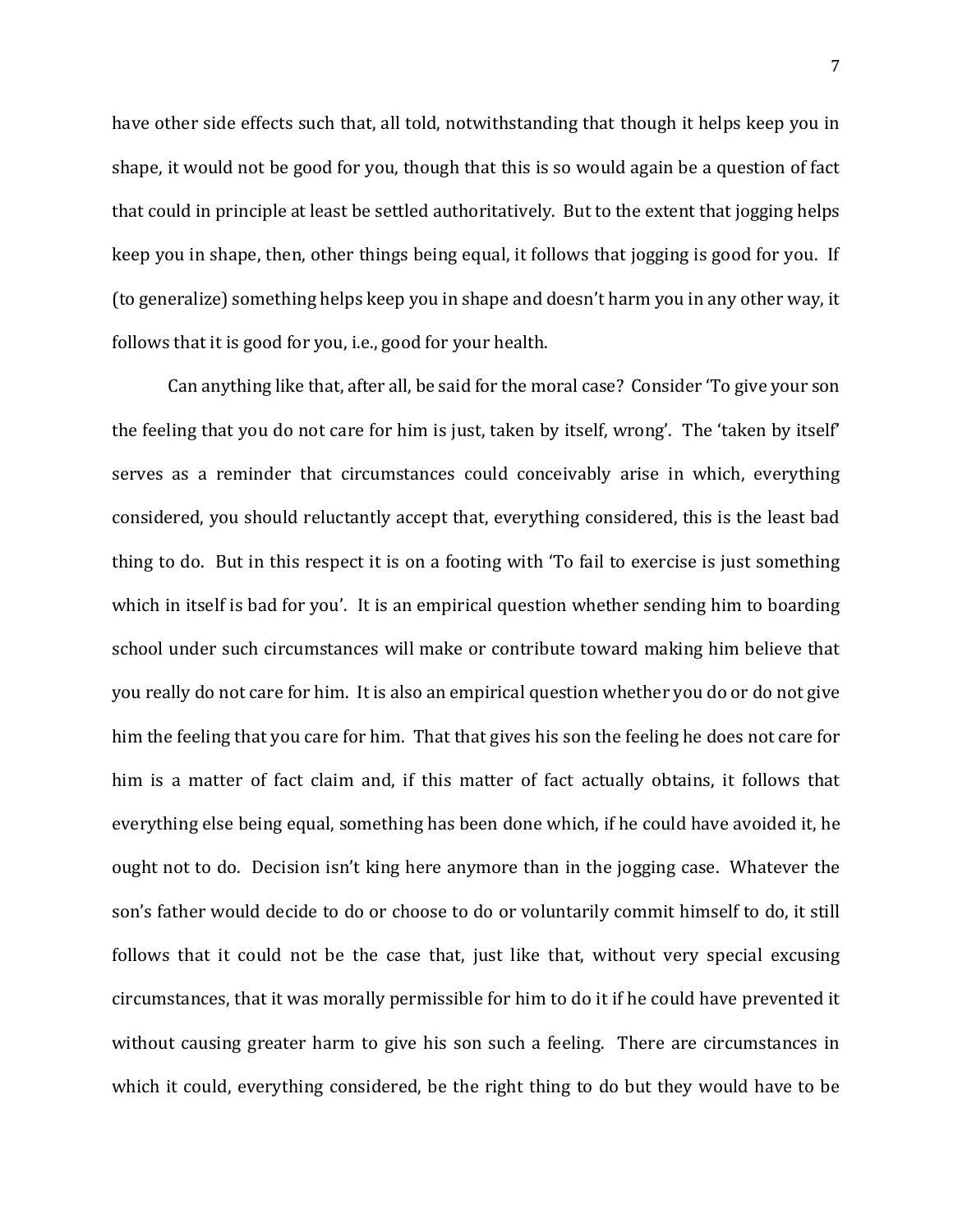have other side effects such that, all told, notwithstanding that though it helps keep you in shape, it would not be good for you, though that this is so would again be a question of fact that could in principle at least be settled authoritatively. But to the extent that jogging helps keep you in shape, then, other things being equal, it follows that jogging is good for you. If (to generalize) something helps keep you in shape and doesn't harm you in any other way, it follows that it is good for you, i.e., good for your health.

Can anything like that, after all, be said for the moral case? Consider 'To give your son the feeling that you do not care for him is just, taken by itself, wrong'. The 'taken by itself' serves as a reminder that circumstances could conceivably arise in which, everything considered, you should reluctantly accept that, everything considered, this is the least bad thing to do. But in this respect it is on a footing with 'To fail to exercise is just something which in itself is bad for you'. It is an empirical question whether sending him to boarding school under such circumstances will make or contribute toward making him believe that you really do not care for him. It is also an empirical question whether you do or do not give him the feeling that you care for him. That that gives his son the feeling he does not care for him is a matter of fact claim and, if this matter of fact actually obtains, it follows that everything else being equal, something has been done which, if he could have avoided it, he ought not to do. Decision isn't king here anymore than in the jogging case. Whatever the son's father would decide to do or choose to do or voluntarily commit himself to do, it still follows that it could not be the case that, just like that, without very special excusing circumstances, that it was morally permissible for him to do it if he could have prevented it without causing greater harm to give his son such a feeling. There are circumstances in which it could, everything considered, be the right thing to do but they would have to be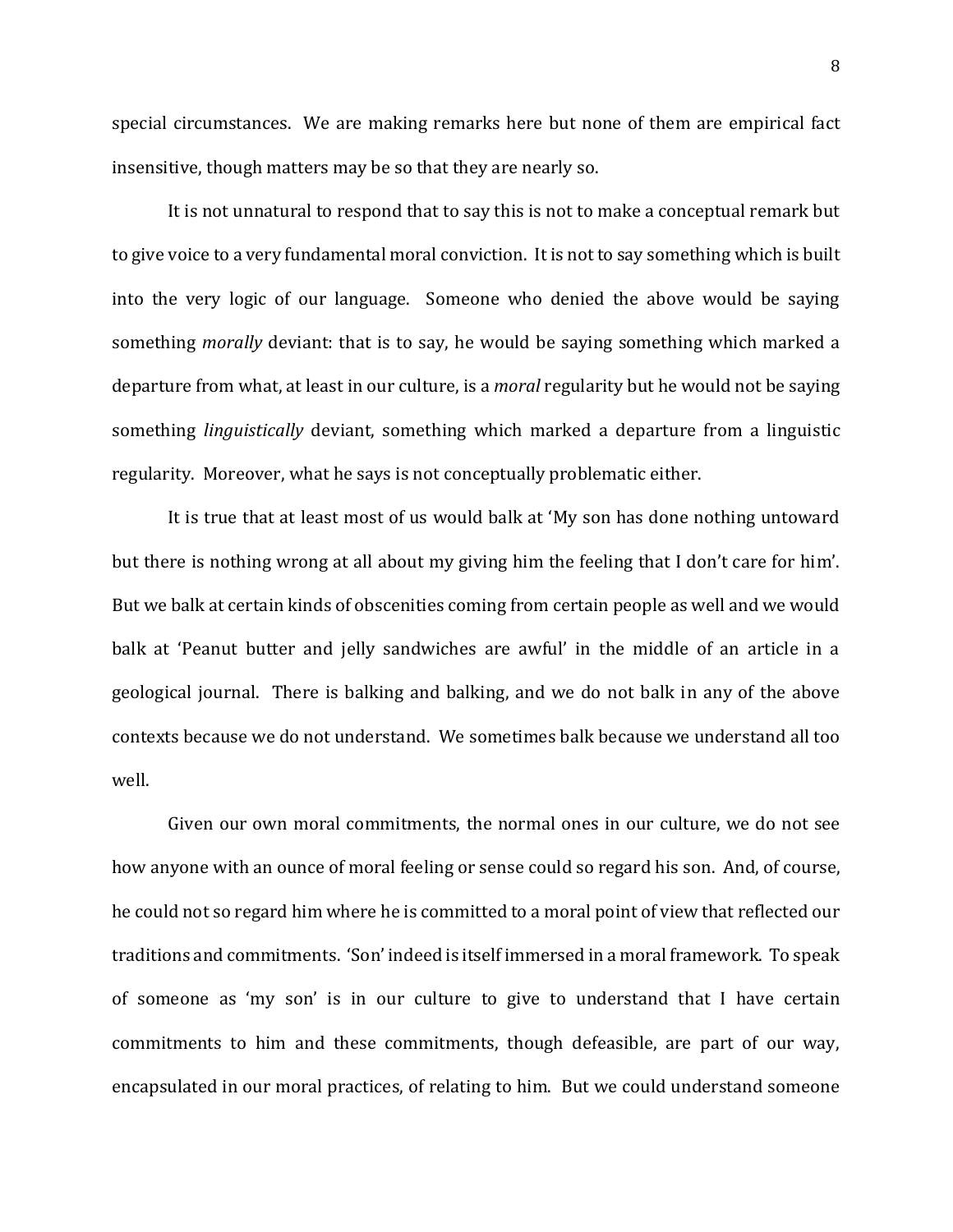special circumstances. We are making remarks here but none of them are empirical fact insensitive, though matters may be so that they are nearly so.

It is not unnatural to respond that to say this is not to make a conceptual remark but to give voice to a very fundamental moral conviction. It is not to say something which is built into the very logic of our language. Someone who denied the above would be saying something *morally* deviant: that is to say, he would be saying something which marked a departure from what, at least in our culture, is a *moral* regularity but he would not be saying something *linguistically* deviant, something which marked a departure from a linguistic regularity. Moreover, what he says is not conceptually problematic either.

It is true that at least most of us would balk at 'My son has done nothing untoward but there is nothing wrong at all about my giving him the feeling that I don't care for him'. But we balk at certain kinds of obscenities coming from certain people as well and we would balk at 'Peanut butter and jelly sandwiches are awful' in the middle of an article in a geological journal. There is balking and balking, and we do not balk in any of the above contexts because we do not understand. We sometimes balk because we understand all too well.

Given our own moral commitments, the normal ones in our culture, we do not see how anyone with an ounce of moral feeling or sense could so regard his son. And, of course, he could not so regard him where he is committed to a moral point of view that reflected our traditions and commitments. 'Son' indeed is itself immersed in a moral framework. To speak of someone as 'my son' is in our culture to give to understand that I have certain commitments to him and these commitments, though defeasible, are part of our way, encapsulated in our moral practices, of relating to him. But we could understand someone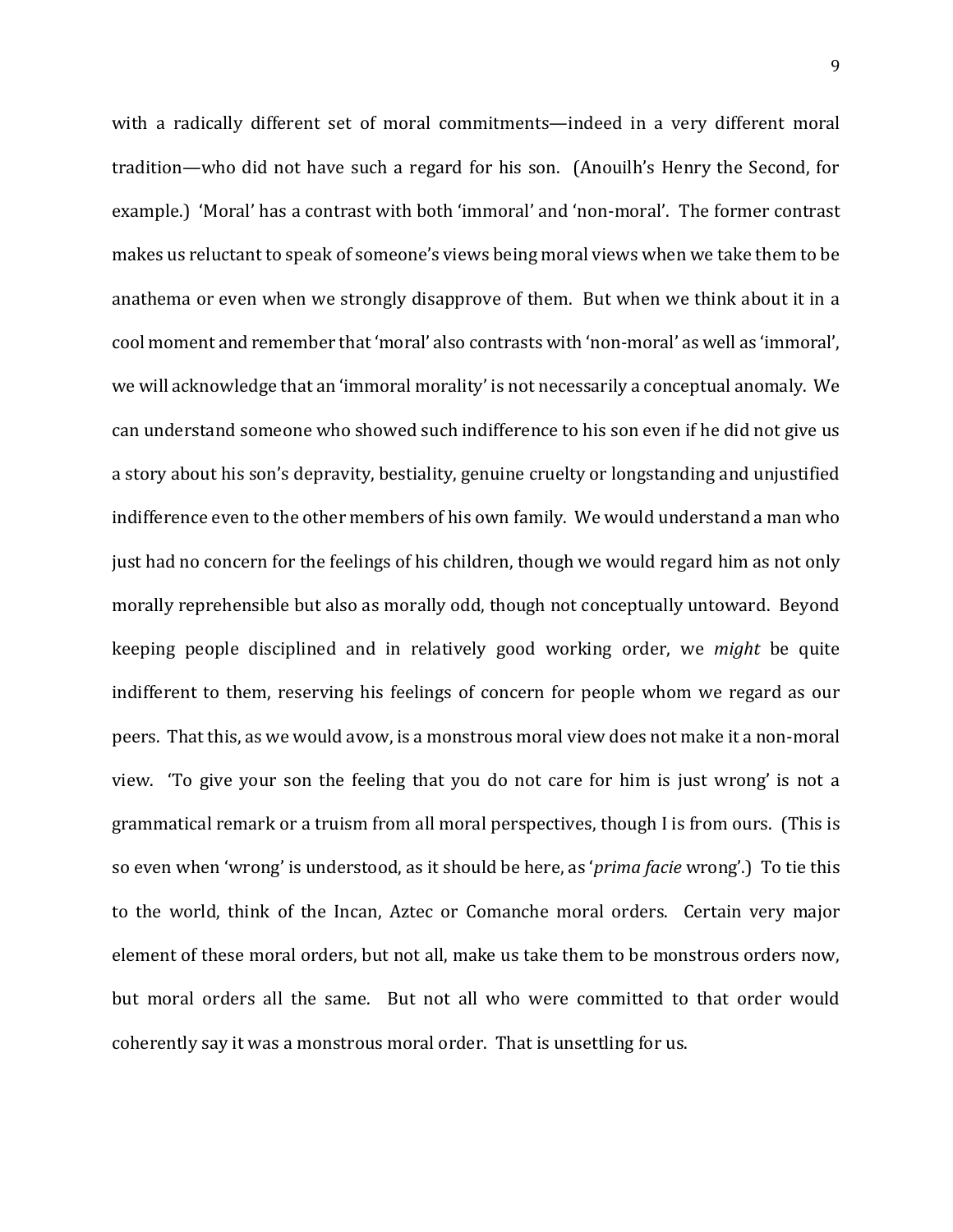with a radically different set of moral commitments—indeed in a very different moral tradition—who did not have such a regard for his son. (Anouilh's Henry the Second, for example.) 'Moral' has a contrast with both 'immoral' and 'non-moral'. The former contrast makes us reluctant to speak of someone's views being moral views when we take them to be anathema or even when we strongly disapprove of them. But when we think about it in a cool moment and remember that 'moral' also contrasts with 'non-moral' as well as 'immoral', we will acknowledge that an 'immoral morality' is not necessarily a conceptual anomaly. We can understand someone who showed such indifference to his son even if he did not give us a story about his son's depravity, bestiality, genuine cruelty or longstanding and unjustified indifference even to the other members of his own family. We would understand a man who just had no concern for the feelings of his children, though we would regard him as not only morally reprehensible but also as morally odd, though not conceptually untoward. Beyond keeping people disciplined and in relatively good working order, we *might* be quite indifferent to them, reserving his feelings of concern for people whom we regard as our peers. That this, as we would avow, is a monstrous moral view does not make it a non-moral view. 'To give your son the feeling that you do not care for him is just wrong' is not a grammatical remark or a truism from all moral perspectives, though I is from ours. (This is so even when 'wrong' is understood, as it should be here, as '*prima facie* wrong'.) To tie this to the world, think of the Incan, Aztec or Comanche moral orders. Certain very major element of these moral orders, but not all, make us take them to be monstrous orders now, but moral orders all the same. But not all who were committed to that order would coherently say it was a monstrous moral order. That is unsettling for us.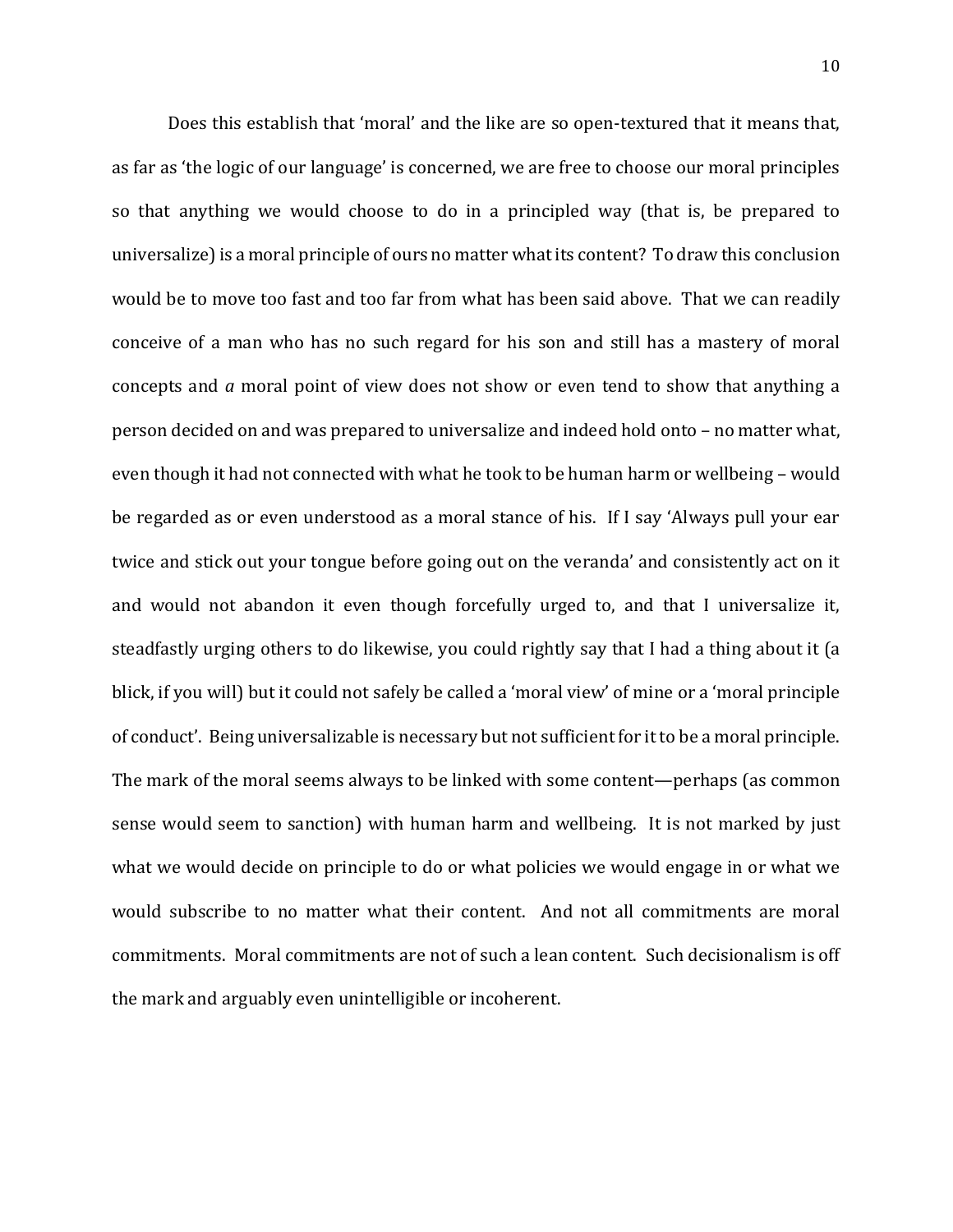Does this establish that 'moral' and the like are so open-textured that it means that, as far as 'the logic of our language' is concerned, we are free to choose our moral principles so that anything we would choose to do in a principled way (that is, be prepared to universalize) is a moral principle of ours no matter what its content? To draw this conclusion would be to move too fast and too far from what has been said above. That we can readily conceive of a man who has no such regard for his son and still has a mastery of moral concepts and *a* moral point of view does not show or even tend to show that anything a person decided on and was prepared to universalize and indeed hold onto – no matter what, even though it had not connected with what he took to be human harm or wellbeing – would be regarded as or even understood as a moral stance of his. If I say 'Always pull your ear twice and stick out your tongue before going out on the veranda' and consistently act on it and would not abandon it even though forcefully urged to, and that I universalize it, steadfastly urging others to do likewise, you could rightly say that I had a thing about it (a blick, if you will) but it could not safely be called a 'moral view' of mine or a 'moral principle of conduct'. Being universalizable is necessary but not sufficient for it to be a moral principle. The mark of the moral seems always to be linked with some content—perhaps (as common sense would seem to sanction) with human harm and wellbeing. It is not marked by just what we would decide on principle to do or what policies we would engage in or what we would subscribe to no matter what their content. And not all commitments are moral commitments. Moral commitments are not of such a lean content. Such decisionalism is off the mark and arguably even unintelligible or incoherent.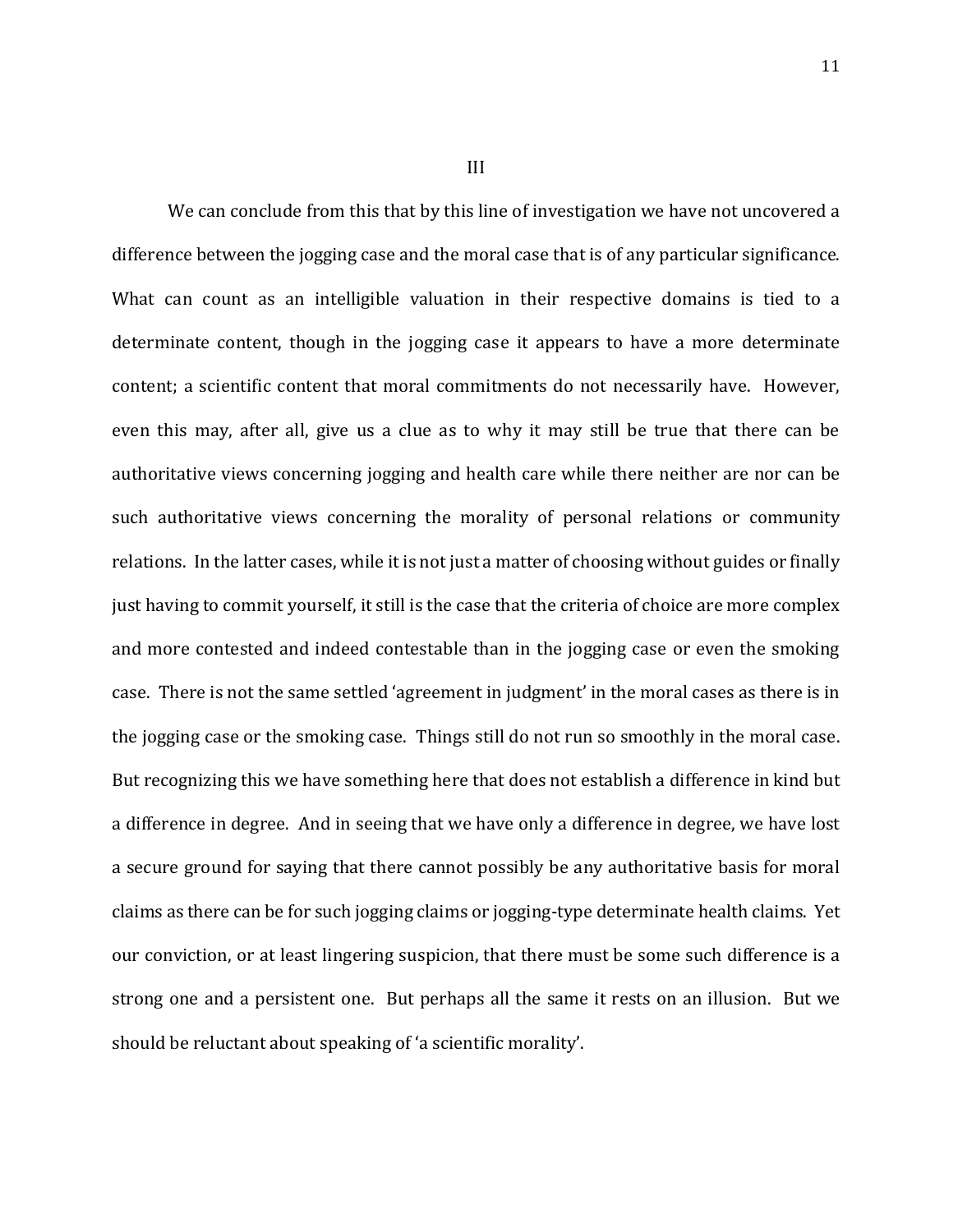We can conclude from this that by this line of investigation we have not uncovered a difference between the jogging case and the moral case that is of any particular significance. What can count as an intelligible valuation in their respective domains is tied to a determinate content, though in the jogging case it appears to have a more determinate content; a scientific content that moral commitments do not necessarily have. However, even this may, after all, give us a clue as to why it may still be true that there can be authoritative views concerning jogging and health care while there neither are nor can be such authoritative views concerning the morality of personal relations or community relations. In the latter cases, while it is not just a matter of choosing without guides or finally just having to commit yourself, it still is the case that the criteria of choice are more complex and more contested and indeed contestable than in the jogging case or even the smoking case. There is not the same settled 'agreement in judgment' in the moral cases as there is in the jogging case or the smoking case. Things still do not run so smoothly in the moral case. But recognizing this we have something here that does not establish a difference in kind but a difference in degree. And in seeing that we have only a difference in degree, we have lost a secure ground for saying that there cannot possibly be any authoritative basis for moral claims as there can be for such jogging claims or jogging-type determinate health claims. Yet our conviction, or at least lingering suspicion, that there must be some such difference is a strong one and a persistent one. But perhaps all the same it rests on an illusion. But we should be reluctant about speaking of 'a scientific morality'.

III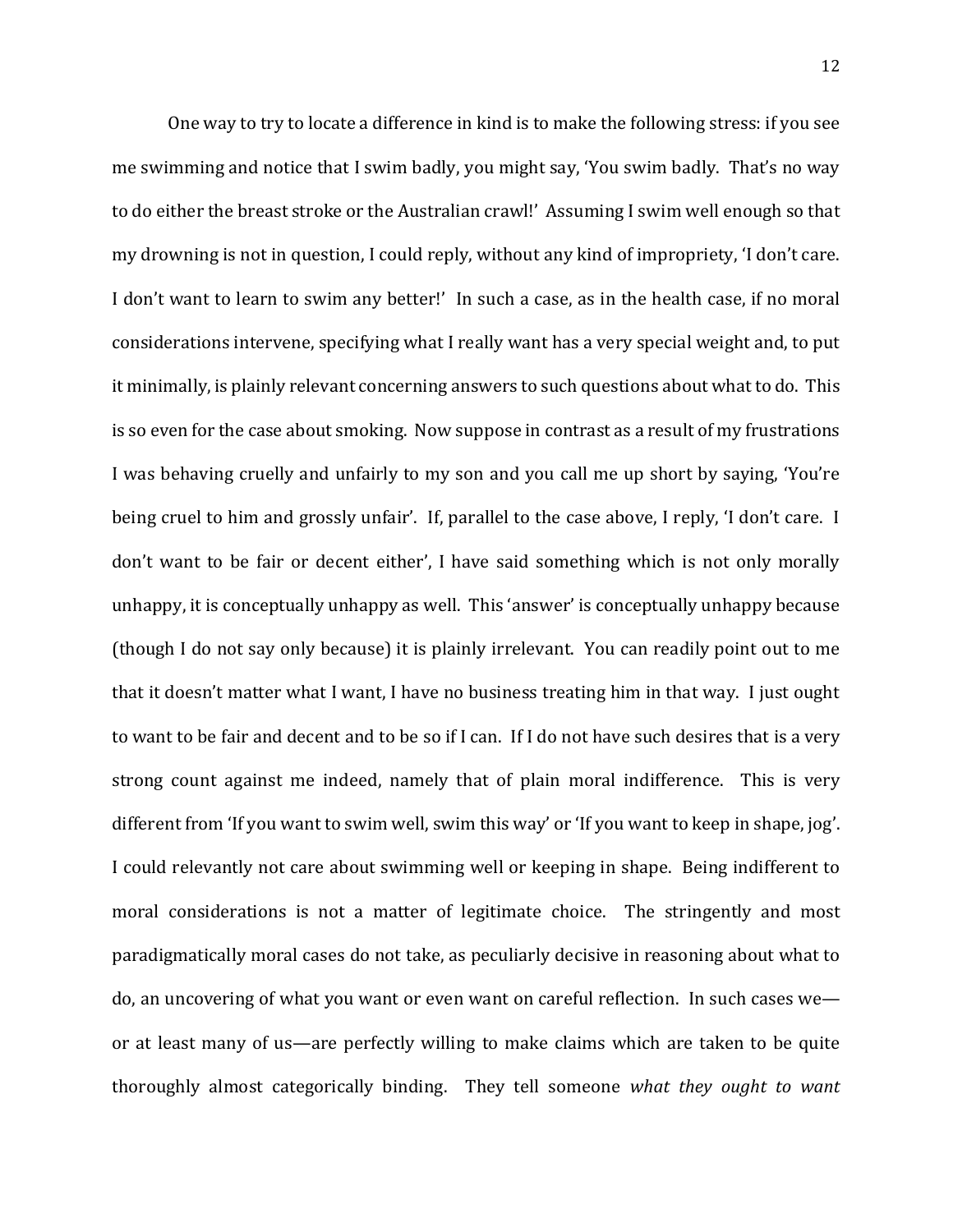One way to try to locate a difference in kind is to make the following stress: if you see me swimming and notice that I swim badly, you might say, 'You swim badly. That's no way to do either the breast stroke or the Australian crawl!' Assuming I swim well enough so that my drowning is not in question, I could reply, without any kind of impropriety, 'I don't care. I don't want to learn to swim any better!' In such a case, as in the health case, if no moral considerations intervene, specifying what I really want has a very special weight and, to put it minimally, is plainly relevant concerning answers to such questions about what to do. This is so even for the case about smoking. Now suppose in contrast as a result of my frustrations I was behaving cruelly and unfairly to my son and you call me up short by saying, 'You're being cruel to him and grossly unfair'. If, parallel to the case above, I reply, 'I don't care. I don't want to be fair or decent either', I have said something which is not only morally unhappy, it is conceptually unhappy as well. This 'answer' is conceptually unhappy because (though I do not say only because) it is plainly irrelevant. You can readily point out to me that it doesn't matter what I want, I have no business treating him in that way. I just ought to want to be fair and decent and to be so if I can. If I do not have such desires that is a very strong count against me indeed, namely that of plain moral indifference. This is very different from 'If you want to swim well, swim this way' or 'If you want to keep in shape, jog'. I could relevantly not care about swimming well or keeping in shape. Being indifferent to moral considerations is not a matter of legitimate choice. The stringently and most paradigmatically moral cases do not take, as peculiarly decisive in reasoning about what to do, an uncovering of what you want or even want on careful reflection. In such cases we or at least many of us—are perfectly willing to make claims which are taken to be quite thoroughly almost categorically binding. They tell someone *what they ought to want*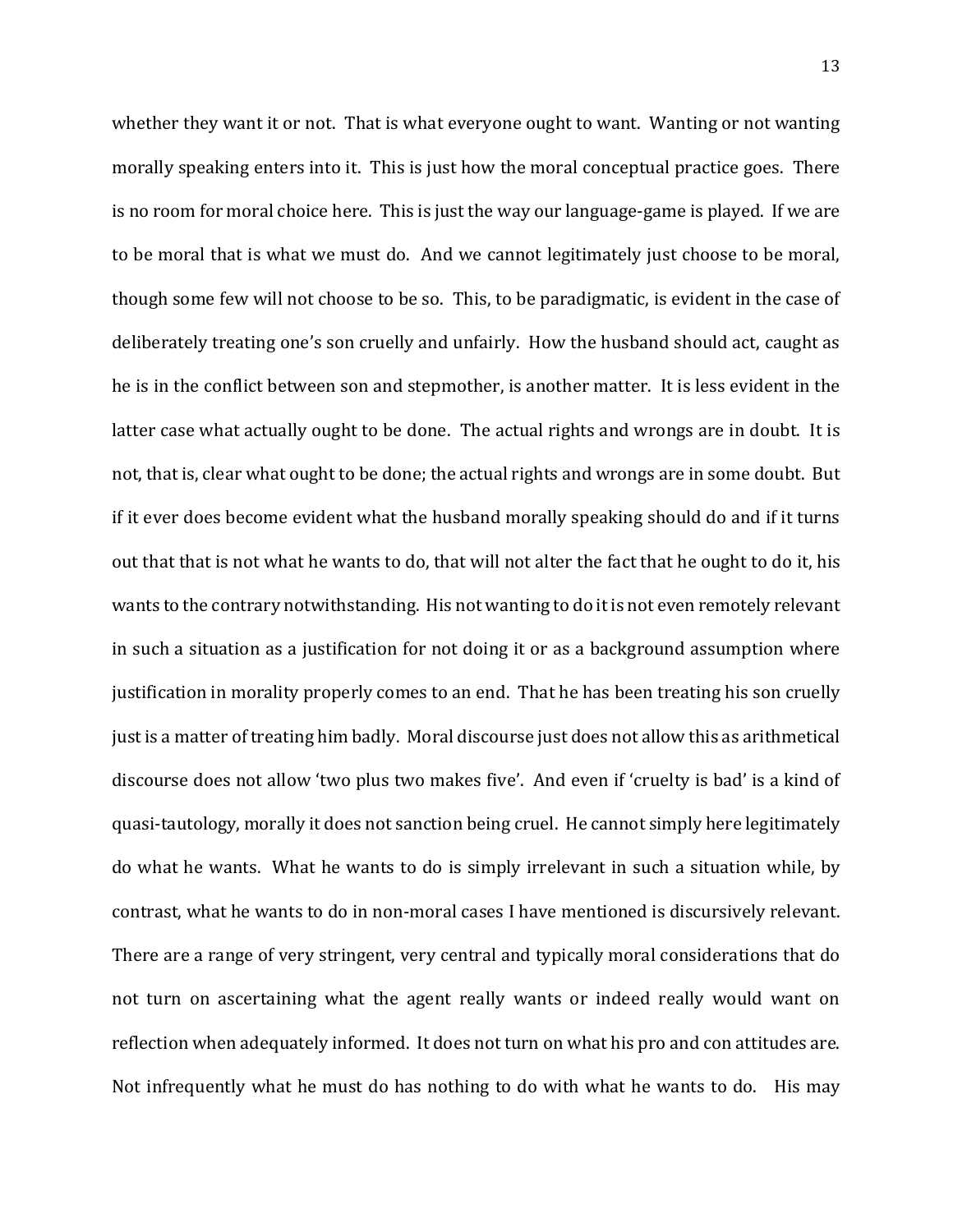whether they want it or not. That is what everyone ought to want. Wanting or not wanting morally speaking enters into it. This is just how the moral conceptual practice goes. There is no room for moral choice here. This is just the way our language-game is played. If we are to be moral that is what we must do. And we cannot legitimately just choose to be moral, though some few will not choose to be so. This, to be paradigmatic, is evident in the case of deliberately treating one's son cruelly and unfairly. How the husband should act, caught as he is in the conflict between son and stepmother, is another matter. It is less evident in the latter case what actually ought to be done. The actual rights and wrongs are in doubt. It is not, that is, clear what ought to be done; the actual rights and wrongs are in some doubt. But if it ever does become evident what the husband morally speaking should do and if it turns out that that is not what he wants to do, that will not alter the fact that he ought to do it, his wants to the contrary notwithstanding. His not wanting to do it is not even remotely relevant in such a situation as a justification for not doing it or as a background assumption where justification in morality properly comes to an end. That he has been treating his son cruelly just is a matter of treating him badly. Moral discourse just does not allow this as arithmetical discourse does not allow 'two plus two makes five'. And even if 'cruelty is bad' is a kind of quasi-tautology, morally it does not sanction being cruel. He cannot simply here legitimately do what he wants. What he wants to do is simply irrelevant in such a situation while, by contrast, what he wants to do in non-moral cases I have mentioned is discursively relevant. There are a range of very stringent, very central and typically moral considerations that do not turn on ascertaining what the agent really wants or indeed really would want on reflection when adequately informed. It does not turn on what his pro and con attitudes are. Not infrequently what he must do has nothing to do with what he wants to do. His may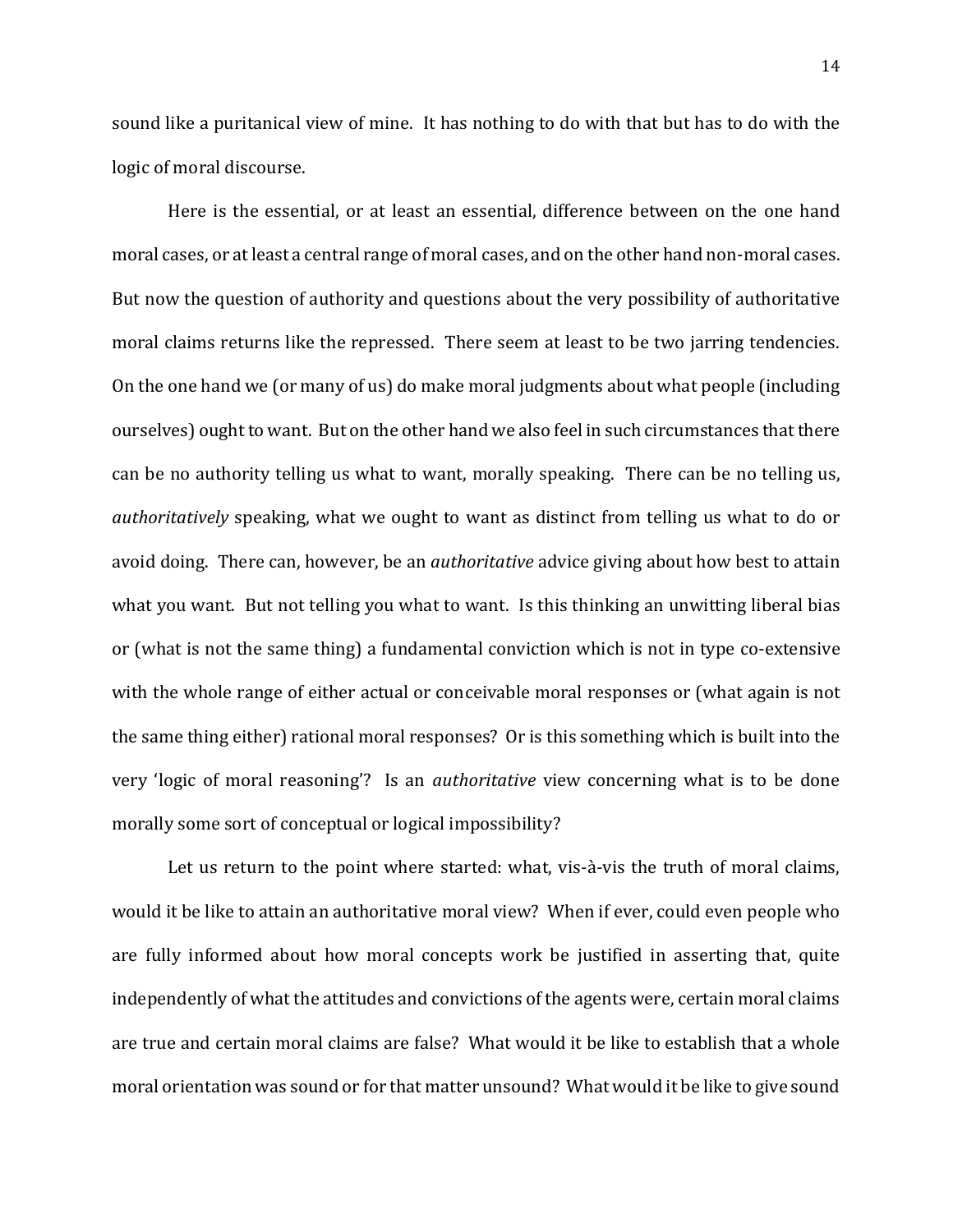sound like a puritanical view of mine. It has nothing to do with that but has to do with the logic of moral discourse.

Here is the essential, or at least an essential, difference between on the one hand moral cases, or at least a central range of moral cases, and on the other hand non-moral cases. But now the question of authority and questions about the very possibility of authoritative moral claims returns like the repressed. There seem at least to be two jarring tendencies. On the one hand we (or many of us) do make moral judgments about what people (including ourselves) ought to want. But on the other hand we also feel in such circumstances that there can be no authority telling us what to want, morally speaking. There can be no telling us, *authoritatively* speaking, what we ought to want as distinct from telling us what to do or avoid doing. There can, however, be an *authoritative* advice giving about how best to attain what you want. But not telling you what to want. Is this thinking an unwitting liberal bias or (what is not the same thing) a fundamental conviction which is not in type co-extensive with the whole range of either actual or conceivable moral responses or (what again is not the same thing either) rational moral responses? Or is this something which is built into the very 'logic of moral reasoning'? Is an *authoritative* view concerning what is to be done morally some sort of conceptual or logical impossibility?

Let us return to the point where started: what, vis-à-vis the truth of moral claims, would it be like to attain an authoritative moral view? When if ever, could even people who are fully informed about how moral concepts work be justified in asserting that, quite independently of what the attitudes and convictions of the agents were, certain moral claims are true and certain moral claims are false? What would it be like to establish that a whole moral orientation was sound or for that matter unsound? What would it be like to give sound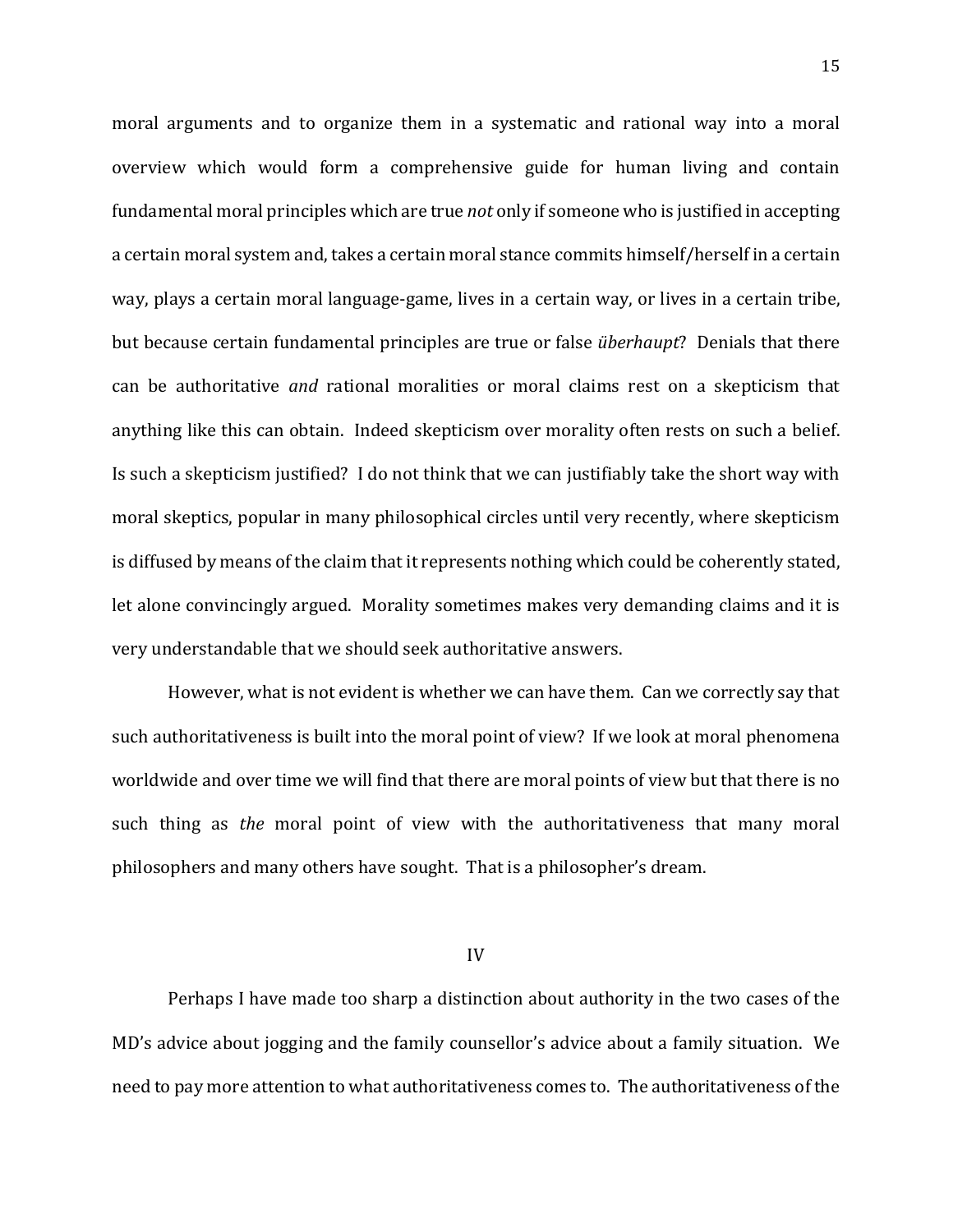moral arguments and to organize them in a systematic and rational way into a moral overview which would form a comprehensive guide for human living and contain fundamental moral principles which are true *not* only if someone who is justified in accepting a certain moral system and, takes a certain moral stance commits himself/herself in a certain way, plays a certain moral language-game, lives in a certain way, or lives in a certain tribe, but because certain fundamental principles are true or false *überhaupt*? Denials that there can be authoritative *and* rational moralities or moral claims rest on a skepticism that anything like this can obtain. Indeed skepticism over morality often rests on such a belief. Is such a skepticism justified? I do not think that we can justifiably take the short way with moral skeptics, popular in many philosophical circles until very recently, where skepticism is diffused by means of the claim that it represents nothing which could be coherently stated, let alone convincingly argued. Morality sometimes makes very demanding claims and it is very understandable that we should seek authoritative answers.

However, what is not evident is whether we can have them. Can we correctly say that such authoritativeness is built into the moral point of view? If we look at moral phenomena worldwide and over time we will find that there are moral points of view but that there is no such thing as *the* moral point of view with the authoritativeness that many moral philosophers and many others have sought. That is a philosopher's dream.

IV

Perhaps I have made too sharp a distinction about authority in the two cases of the MD's advice about jogging and the family counsellor's advice about a family situation. We need to pay more attention to what authoritativeness comes to. The authoritativeness of the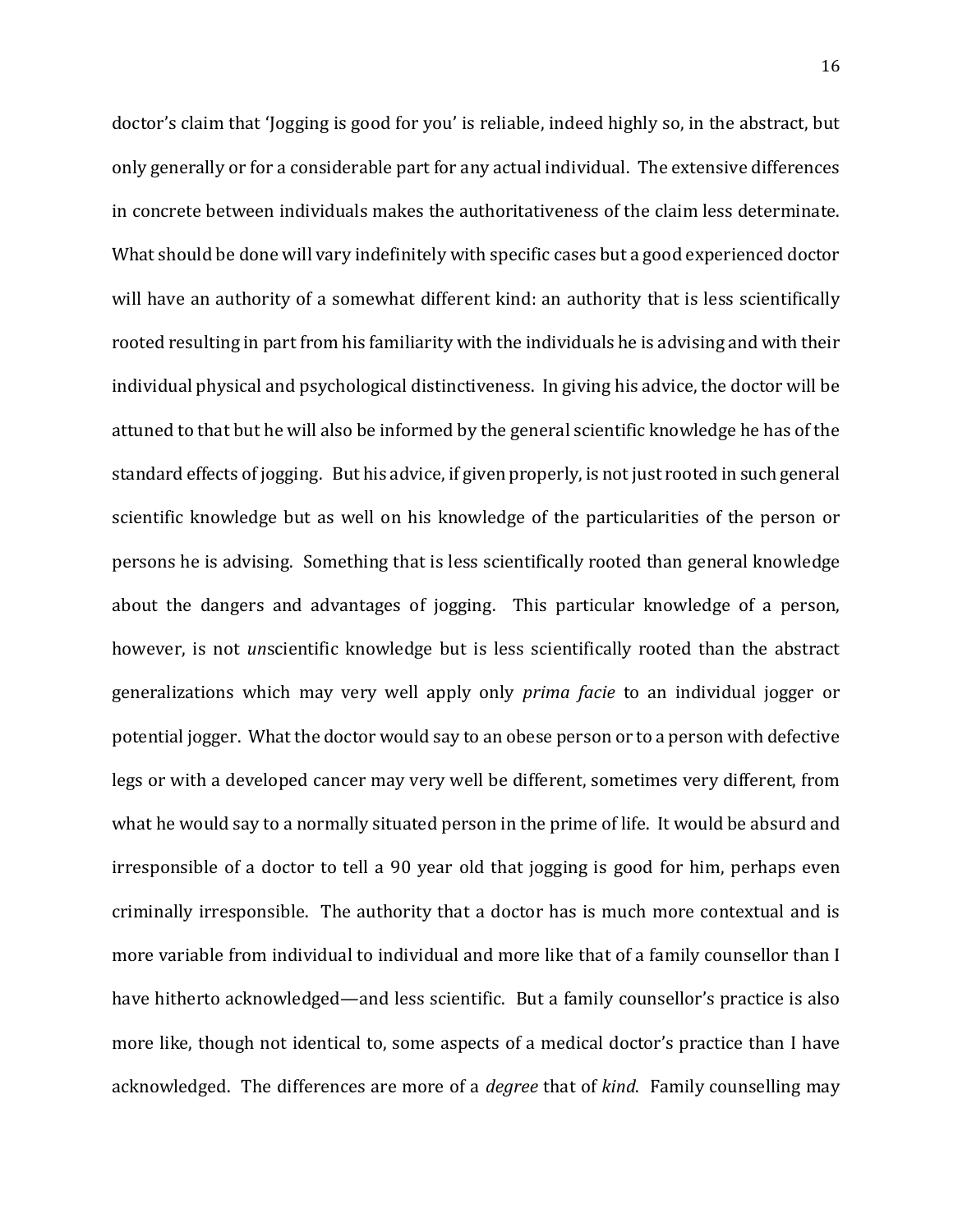doctor's claim that 'Jogging is good for you' is reliable, indeed highly so, in the abstract, but only generally or for a considerable part for any actual individual. The extensive differences in concrete between individuals makes the authoritativeness of the claim less determinate. What should be done will vary indefinitely with specific cases but a good experienced doctor will have an authority of a somewhat different kind: an authority that is less scientifically rooted resulting in part from his familiarity with the individuals he is advising and with their individual physical and psychological distinctiveness. In giving his advice, the doctor will be attuned to that but he will also be informed by the general scientific knowledge he has of the standard effects of jogging. But his advice, if given properly, is not just rooted in such general scientific knowledge but as well on his knowledge of the particularities of the person or persons he is advising. Something that is less scientifically rooted than general knowledge about the dangers and advantages of jogging. This particular knowledge of a person, however, is not *un*scientific knowledge but is less scientifically rooted than the abstract generalizations which may very well apply only *prima facie* to an individual jogger or potential jogger. What the doctor would say to an obese person or to a person with defective legs or with a developed cancer may very well be different, sometimes very different, from what he would say to a normally situated person in the prime of life. It would be absurd and irresponsible of a doctor to tell a 90 year old that jogging is good for him, perhaps even criminally irresponsible. The authority that a doctor has is much more contextual and is more variable from individual to individual and more like that of a family counsellor than I have hitherto acknowledged—and less scientific. But a family counsellor's practice is also more like, though not identical to, some aspects of a medical doctor's practice than I have acknowledged. The differences are more of a *degree* that of *kind*. Family counselling may